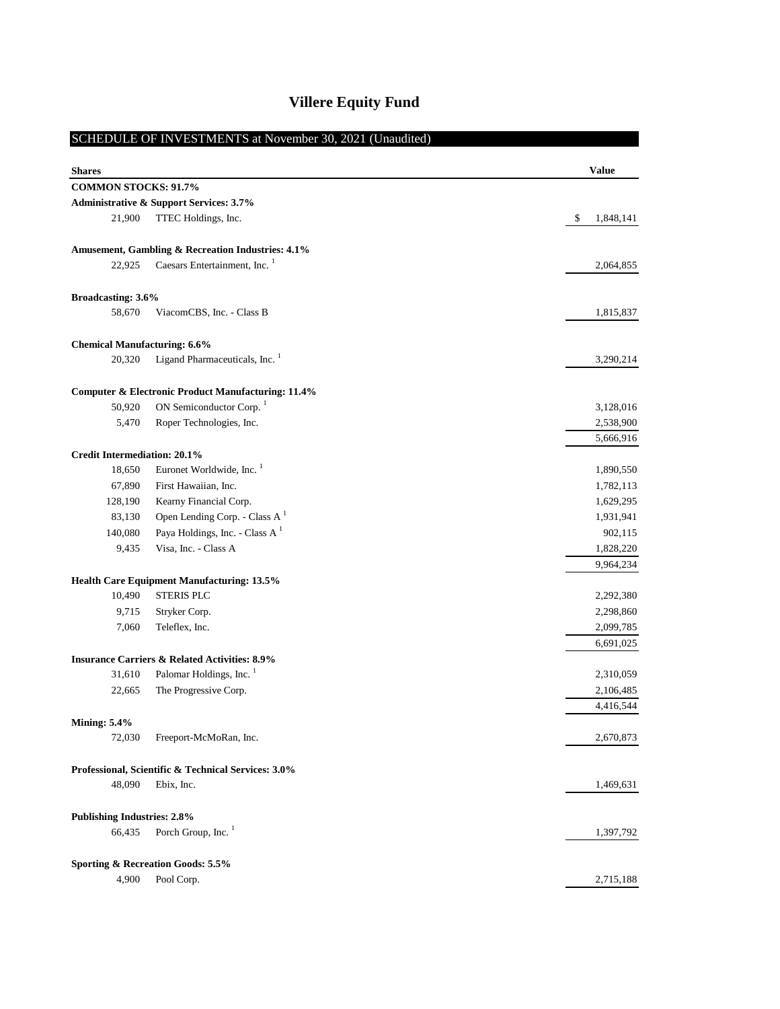| <b>Villere Equity Fund</b> |  |
|----------------------------|--|
|----------------------------|--|

|                                     | SCHEDULE OF INVESTMENTS at November 30, 2021 (Unaudited)      |                 |
|-------------------------------------|---------------------------------------------------------------|-----------------|
|                                     |                                                               |                 |
| <b>Shares</b>                       |                                                               | <b>Value</b>    |
| <b>COMMON STOCKS: 91.7%</b>         |                                                               |                 |
|                                     | <b>Administrative &amp; Support Services: 3.7%</b>            |                 |
| 21,900                              | TTEC Holdings, Inc.                                           | \$<br>1,848,141 |
|                                     | Amusement, Gambling & Recreation Industries: 4.1%             |                 |
| 22,925                              | Caesars Entertainment, Inc. <sup>1</sup>                      | 2,064,855       |
| Broadcasting: 3.6%                  |                                                               |                 |
| 58,670                              | ViacomCBS, Inc. - Class B                                     | 1,815,837       |
| <b>Chemical Manufacturing: 6.6%</b> |                                                               |                 |
| 20,320                              | Ligand Pharmaceuticals, Inc. <sup>1</sup>                     | 3,290,214       |
|                                     |                                                               |                 |
|                                     | <b>Computer &amp; Electronic Product Manufacturing: 11.4%</b> |                 |
| 50,920                              | ON Semiconductor Corp. <sup>1</sup>                           | 3,128,016       |
| 5,470                               | Roper Technologies, Inc.                                      | 2,538,900       |
|                                     |                                                               | 5,666,916       |
| <b>Credit Intermediation: 20.1%</b> |                                                               |                 |
| 18,650                              | Euronet Worldwide, Inc. <sup>1</sup>                          | 1,890,550       |
| 67,890                              | First Hawaiian, Inc.                                          | 1,782,113       |
| 128,190                             | Kearny Financial Corp.                                        | 1,629,295       |
| 83,130                              | Open Lending Corp. - Class A <sup>1</sup>                     | 1,931,941       |
| 140,080                             | Paya Holdings, Inc. - Class A $1$                             | 902,115         |
| 9,435                               | Visa, Inc. - Class A                                          | 1,828,220       |
|                                     |                                                               | 9,964,234       |
|                                     | <b>Health Care Equipment Manufacturing: 13.5%</b>             |                 |
| 10,490                              | <b>STERIS PLC</b>                                             | 2,292,380       |
| 9,715                               | Stryker Corp.                                                 | 2,298,860       |
| 7,060                               | Teleflex, Inc.                                                | 2,099,785       |
|                                     |                                                               | 6,691,025       |
|                                     | <b>Insurance Carriers &amp; Related Activities: 8.9%</b>      |                 |
| 31,610                              | Palomar Holdings, Inc. <sup>1</sup>                           | 2,310,059       |
| 22,665                              | The Progressive Corp.                                         | 2,106,485       |
|                                     |                                                               | 4,416,544       |
| <b>Mining: 5.4%</b>                 |                                                               |                 |
| 72,030                              | Freeport-McMoRan, Inc.                                        | 2,670,873       |
|                                     | Professional, Scientific & Technical Services: 3.0%           |                 |
| 48,090                              | Ebix, Inc.                                                    | 1,469,631       |
| <b>Publishing Industries: 2.8%</b>  |                                                               |                 |
| 66,435                              | Porch Group, Inc. <sup>1</sup>                                | 1,397,792       |
|                                     |                                                               |                 |
|                                     | Sporting & Recreation Goods: 5.5%                             |                 |
| 4,900                               | Pool Corp.                                                    | 2,715,188       |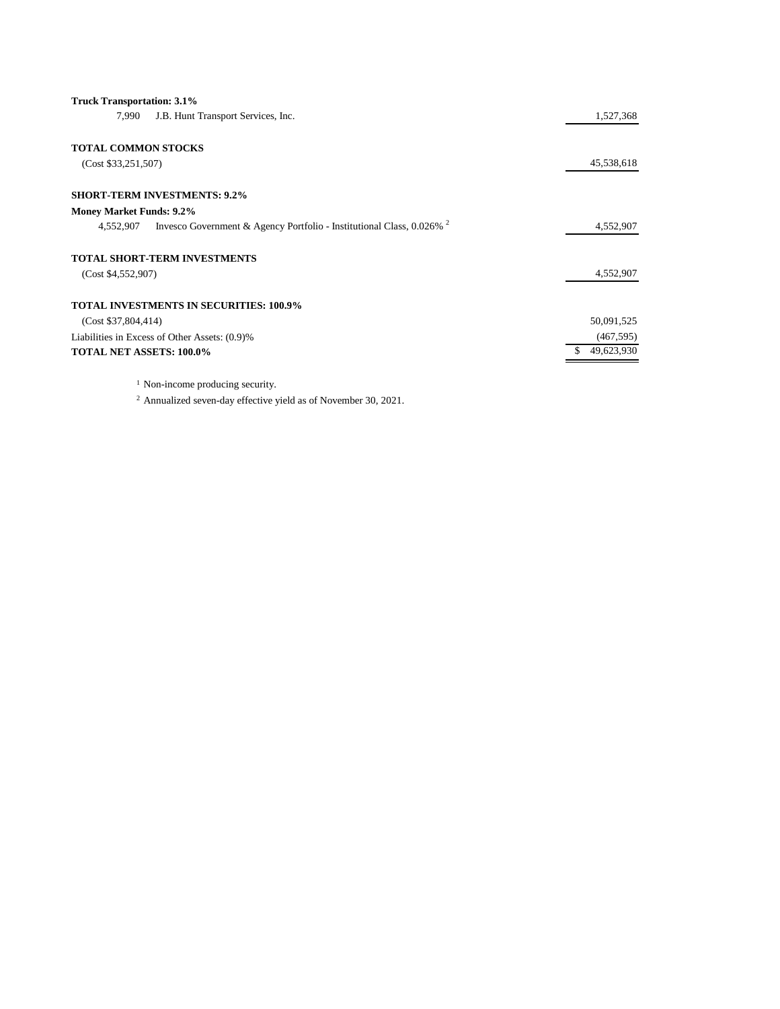| <b>Truck Transportation: 3.1%</b>                                                             |            |
|-----------------------------------------------------------------------------------------------|------------|
| J.B. Hunt Transport Services, Inc.<br>7,990                                                   | 1,527,368  |
| <b>TOTAL COMMON STOCKS</b>                                                                    |            |
| (Cost \$33,251,507)                                                                           | 45,538,618 |
| <b>SHORT-TERM INVESTMENTS: 9.2%</b>                                                           |            |
| <b>Money Market Funds: 9.2%</b>                                                               |            |
| Invesco Government & Agency Portfolio - Institutional Class, 0.026% <sup>2</sup><br>4,552,907 | 4,552,907  |
| <b>TOTAL SHORT-TERM INVESTMENTS</b>                                                           |            |
| (Cost \$4,552,907)                                                                            | 4,552,907  |
| <b>TOTAL INVESTMENTS IN SECURITIES: 100.9%</b>                                                |            |
| (Cost \$37,804,414)                                                                           | 50,091,525 |
| Liabilities in Excess of Other Assets: (0.9)%                                                 | (467, 595) |
| <b>TOTAL NET ASSETS: 100.0%</b>                                                               | 49,623,930 |
|                                                                                               |            |

<sup>1</sup> Non-income producing security.

<sup>2</sup> Annualized seven-day effective yield as of November 30, 2021.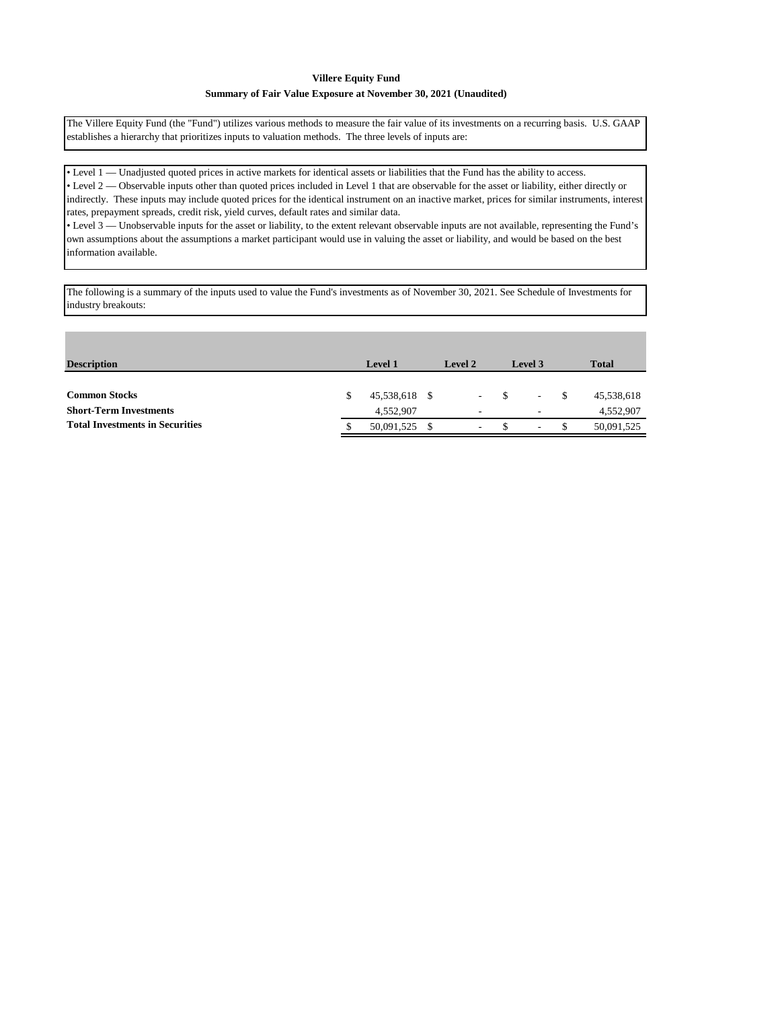### **Villere Equity Fund**

#### **Summary of Fair Value Exposure at November 30, 2021 (Unaudited)**

The Villere Equity Fund (the "Fund") utilizes various methods to measure the fair value of its investments on a recurring basis. U.S. GAAP establishes a hierarchy that prioritizes inputs to valuation methods. The three levels of inputs are:

• Level 1 — Unadjusted quoted prices in active markets for identical assets or liabilities that the Fund has the ability to access. • Level 2 — Observable inputs other than quoted prices included in Level 1 that are observable for the asset or liability, either directly or indirectly. These inputs may include quoted prices for the identical instrument on an inactive market, prices for similar instruments, interest rates, prepayment spreads, credit risk, yield curves, default rates and similar data. • Level 3 — Unobservable inputs for the asset or liability, to the extent relevant observable inputs are not available, representing the Fund's own assumptions about the assumptions a market participant would use in valuing the asset or liability, and would be based on the best

information available.

The following is a summary of the inputs used to value the Fund's investments as of November 30, 2021. See Schedule of Investments for industry breakouts:

| <b>Description</b>                     | <b>Level 1</b> | Level 2 | Level 3                  | <b>Total</b> |            |
|----------------------------------------|----------------|---------|--------------------------|--------------|------------|
|                                        |                |         |                          |              |            |
| <b>Common Stocks</b>                   | 45,538,618 \$  | $\sim$  | $\overline{\phantom{a}}$ | -S           | 45,538,618 |
| <b>Short-Term Investments</b>          | 4,552,907      | ۰       | $\overline{\phantom{a}}$ |              | 4,552,907  |
| <b>Total Investments in Securities</b> | 50,091,525     | ۰       | $\overline{\phantom{a}}$ | -\$          | 50,091,525 |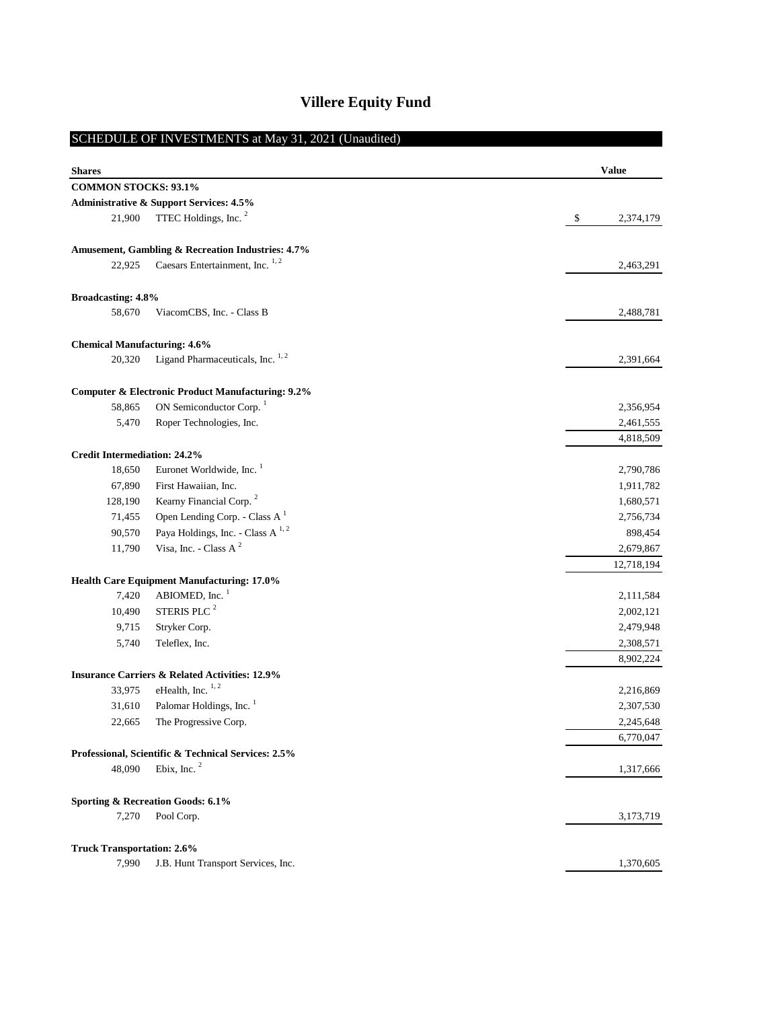# **Villere Equity Fund**

# **Value** 21,900 TTEC Holdings, Inc. <sup>2</sup> 5 2,374,179 22,925 Caesars Entertainment, Inc. <sup>1, 2</sup> 2,463,291 58,670 ViacomCBS, Inc. - Class B 2,488,781 20,320 Ligand Pharmaceuticals, Inc.  $1.2$  2,391,664 58,865 ON Semiconductor Corp. 1 2,356,954 5,470 Roper Technologies, Inc. 2,461,555 4,818,509 18,650 Euronet Worldwide, Inc. 1 2,790,786 67,890 First Hawaiian, Inc. 1,911,782 128,190 Kearny Financial Corp.<sup>2</sup> 1,680,571 71,455 Open Lending Corp. - Class A<sup>1</sup> 2,756,734 2,756,734 90,570 Paya Holdings, Inc. - Class A  $^{1, 2}$  898,454 11,790 Visa, Inc. - Class A<sup>2</sup> 2,679,867 12,718,194 7,420 ABIOMED, Inc. <sup>1</sup> 2,111,584 10,490 STERIS PLC  $^{2}$  2,002,121 9,715 Stryker Corp. 2,479,948 5,740 Teleflex, Inc. 2,308,571 8,902,224 33,975 eHealth, Inc.  $^{1,2}$  2,216,869  $31,610$  Palomar Holdings, Inc.  $1$  2,307,530 22,665 The Progressive Corp. 2,245,648 6,770,047 48,090 Ebix, Inc.  $^{2}$  1,317,666 7,270 Pool Corp. 3,173,719 7,990 J.B. Hunt Transport Services, Inc. 1,370,605 **Amusement, Gambling & Recreation Industries: 4.7% Broadcasting: 4.8% Computer & Electronic Product Manufacturing: 9.2% Credit Intermediation: 24.2% Health Care Equipment Manufacturing: 17.0% Insurance Carriers & Related Activities: 12.9% Sporting & Recreation Goods: 6.1% Truck Transportation: 2.6% Administrative & Support Services: 4.5% Professional, Scientific & Technical Services: 2.5% Chemical Manufacturing: 4.6%** SCHEDULE OF INVESTMENTS at May 31, 2021 (Unaudited) **Shares COMMON STOCKS: 93.1%**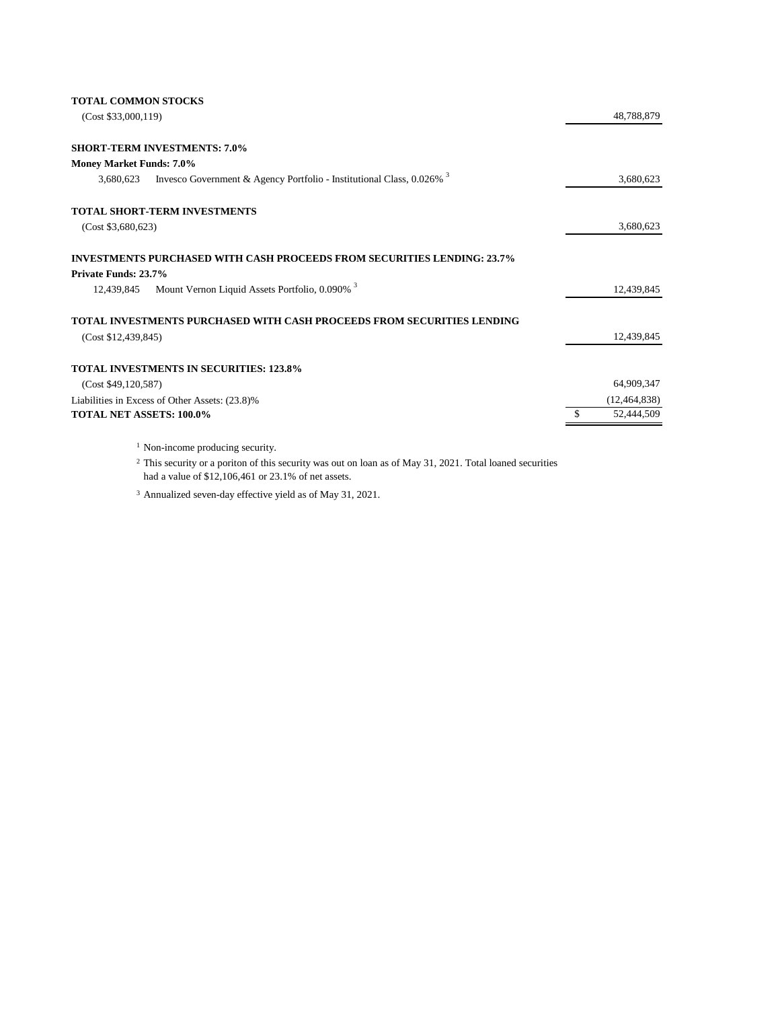|  | <b>TOTAL COMMON STOCKS</b> |  |
|--|----------------------------|--|
|--|----------------------------|--|

| (Cost \$33,000,119)                                                                              | 48,788,879     |
|--------------------------------------------------------------------------------------------------|----------------|
| <b>SHORT-TERM INVESTMENTS: 7.0%</b>                                                              |                |
| <b>Money Market Funds: 7.0%</b>                                                                  |                |
| Invesco Government & Agency Portfolio - Institutional Class, $0.026\%$ <sup>3</sup><br>3,680,623 | 3,680,623      |
| TOTAL SHORT-TERM INVESTMENTS                                                                     |                |
| (Cost \$3,680,623)                                                                               | 3,680,623      |
| <b>INVESTMENTS PURCHASED WITH CASH PROCEEDS FROM SECURITIES LENDING: 23.7%</b>                   |                |
| Private Funds: 23.7%                                                                             |                |
| Mount Vernon Liquid Assets Portfolio, 0.090% <sup>3</sup><br>12,439,845                          | 12,439,845     |
| TOTAL INVESTMENTS PURCHASED WITH CASH PROCEEDS FROM SECURITIES LENDING                           |                |
| (Cost \$12,439,845)                                                                              | 12,439,845     |
| <b>TOTAL INVESTMENTS IN SECURITIES: 123.8%</b>                                                   |                |
| (Cost \$49,120,587)                                                                              | 64,909,347     |
| Liabilities in Excess of Other Assets: (23.8)%                                                   | (12, 464, 838) |
| <b>TOTAL NET ASSETS: 100.0%</b>                                                                  | 52,444,509     |
|                                                                                                  |                |

<sup>1</sup> Non-income producing security.

<sup>2</sup> This security or a poriton of this security was out on loan as of May 31, 2021. Total loaned securities had a value of \$12,106,461 or 23.1% of net assets.

<sup>3</sup> Annualized seven-day effective yield as of May 31, 2021.